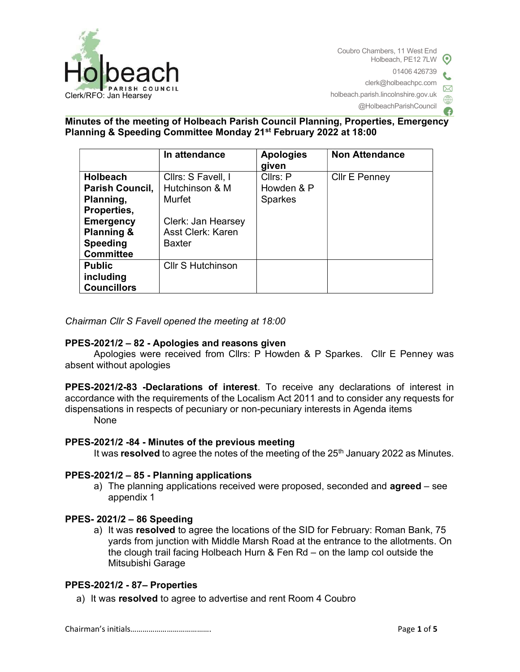

Coubro Chambers, 11 West End Holbeach, PE12 7LW  $\odot$ 01406 426739 clerk@holbeachpc.com holbeach.parish.lincolnshire.gov.uk @HolbeachParishCouncil

## Minutes of the meeting of Holbeach Parish Council Planning, Properties, Emergency Planning & Speeding Committee Monday 21st February 2022 at 18:00

|                                                                                  | In attendance                                                   | <b>Apologies</b><br>given                | <b>Non Attendance</b> |
|----------------------------------------------------------------------------------|-----------------------------------------------------------------|------------------------------------------|-----------------------|
| <b>Holbeach</b><br>Parish Council,<br>Planning,<br>Properties,                   | Cllrs: S Favell, I<br>Hutchinson & M<br>Murfet                  | Cllrs: P<br>Howden & P<br><b>Sparkes</b> | <b>Cllr E Penney</b>  |
| <b>Emergency</b><br><b>Planning &amp;</b><br><b>Speeding</b><br><b>Committee</b> | Clerk: Jan Hearsey<br><b>Asst Clerk: Karen</b><br><b>Baxter</b> |                                          |                       |
| <b>Public</b><br>including<br><b>Councillors</b>                                 | <b>CIIr S Hutchinson</b>                                        |                                          |                       |

## Chairman Cllr S Favell opened the meeting at 18:00

## PPES-2021/2 – 82 - Apologies and reasons given

Apologies were received from Cllrs: P Howden & P Sparkes. Cllr E Penney was absent without apologies

PPES-2021/2-83 -Declarations of interest. To receive any declarations of interest in accordance with the requirements of the Localism Act 2011 and to consider any requests for dispensations in respects of pecuniary or non-pecuniary interests in Agenda items None

## PPES-2021/2 -84 - Minutes of the previous meeting

It was resolved to agree the notes of the meeting of the  $25<sup>th</sup>$  January 2022 as Minutes.

#### PPES-2021/2 – 85 - Planning applications

a) The planning applications received were proposed, seconded and **agreed** – see appendix 1

## PPES- 2021/2 – 86 Speeding

a) It was resolved to agree the locations of the SID for February: Roman Bank, 75 yards from junction with Middle Marsh Road at the entrance to the allotments. On the clough trail facing Holbeach Hurn & Fen Rd – on the lamp col outside the Mitsubishi Garage

## PPES-2021/2 - 87– Properties

a) It was resolved to agree to advertise and rent Room 4 Coubro

Chairman's initials…………………………………. Page 1 of 5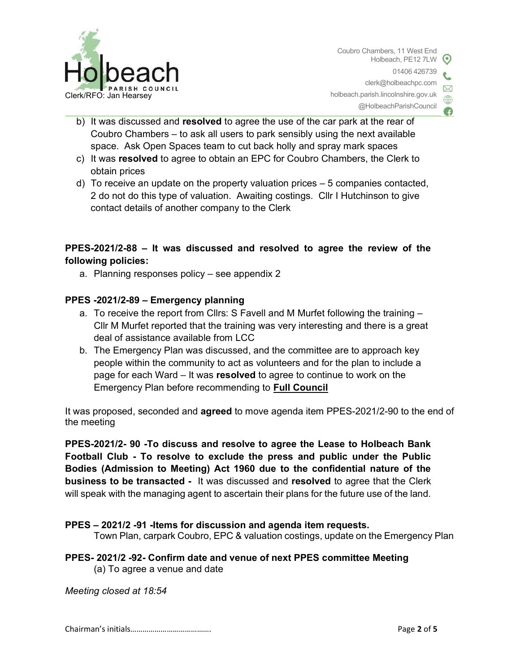

- @HolbeachParishCouncil
- b) It was discussed and resolved to agree the use of the car park at the rear of Coubro Chambers – to ask all users to park sensibly using the next available space. Ask Open Spaces team to cut back holly and spray mark spaces
- c) It was resolved to agree to obtain an EPC for Coubro Chambers, the Clerk to obtain prices
- d) To receive an update on the property valuation prices 5 companies contacted, 2 do not do this type of valuation. Awaiting costings. Cllr I Hutchinson to give contact details of another company to the Clerk

# PPES-2021/2-88 – It was discussed and resolved to agree the review of the following policies:

a. Planning responses policy – see appendix 2

## PPES -2021/2-89 – Emergency planning

- a. To receive the report from Cllrs: S Favell and M Murfet following the training Cllr M Murfet reported that the training was very interesting and there is a great deal of assistance available from LCC
- b. The Emergency Plan was discussed, and the committee are to approach key people within the community to act as volunteers and for the plan to include a page for each Ward – It was resolved to agree to continue to work on the Emergency Plan before recommending to Full Council

It was proposed, seconded and agreed to move agenda item PPES-2021/2-90 to the end of the meeting

PPES-2021/2- 90 -To discuss and resolve to agree the Lease to Holbeach Bank Football Club - To resolve to exclude the press and public under the Public Bodies (Admission to Meeting) Act 1960 due to the confidential nature of the business to be transacted - It was discussed and resolved to agree that the Clerk will speak with the managing agent to ascertain their plans for the future use of the land.

## PPES – 2021/2 -91 -Items for discussion and agenda item requests.

Town Plan, carpark Coubro, EPC & valuation costings, update on the Emergency Plan

## PPES- 2021/2 -92- Confirm date and venue of next PPES committee Meeting (a) To agree a venue and date

Meeting closed at 18:54

Chairman's initials…………………………………. Page 2 of 5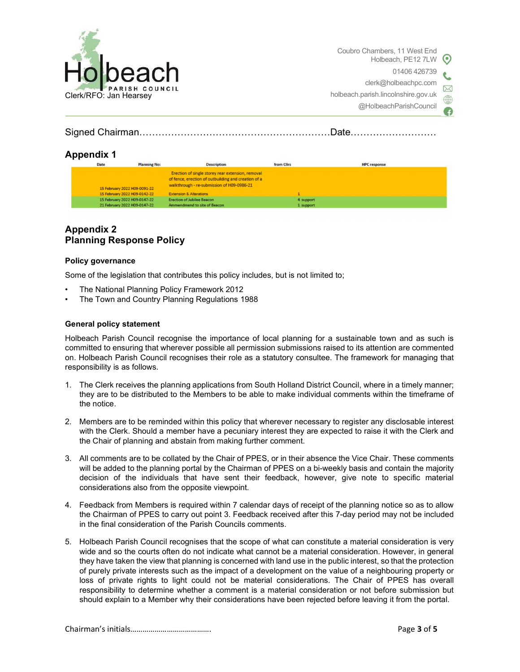

Coubro Chambers, 11 West End Holbeach, PE12 7LW 01406 426739 clerk@holbeachpc.com holbeach.parish.lincolnshire.gov.uk @HolbeachParishCouncil

Signed Chairman……………………………………………………Date………………………

## Appendix 1

| <b>Date</b>                  | <b>Planning No:</b> | <b>Description</b>                                  | from Clirs | <b>HPC</b> response |
|------------------------------|---------------------|-----------------------------------------------------|------------|---------------------|
|                              |                     | Erection of single storey rear extension, removal   |            |                     |
|                              |                     | of fence, erection of outbuilding and creation of a |            |                     |
|                              |                     | walkthrough - re-submission of H09-0986-21          |            |                     |
| 15 February 2022 H09-0091-22 |                     |                                                     |            |                     |
| 15 February 2022 H09-0142-22 |                     | <b>Extension &amp; Alterations</b>                  |            |                     |
| 15 February 2022 H09-0147-22 |                     | <b>Erection of Jubilee Beacon</b>                   |            | 4 support           |
| 21 February 2022 H09-0147-22 |                     | Ammendmend to site of Beacon                        |            | 1 support           |

## Appendix 2 Planning Response Policy

#### Policy governance

Some of the legislation that contributes this policy includes, but is not limited to;

- The National Planning Policy Framework 2012
- The Town and Country Planning Regulations 1988

#### General policy statement

Holbeach Parish Council recognise the importance of local planning for a sustainable town and as such is committed to ensuring that wherever possible all permission submissions raised to its attention are commented on. Holbeach Parish Council recognises their role as a statutory consultee. The framework for managing that responsibility is as follows.

- 1. The Clerk receives the planning applications from South Holland District Council, where in a timely manner; they are to be distributed to the Members to be able to make individual comments within the timeframe of the notice.
- 2. Members are to be reminded within this policy that wherever necessary to register any disclosable interest with the Clerk. Should a member have a pecuniary interest they are expected to raise it with the Clerk and the Chair of planning and abstain from making further comment.
- 3. All comments are to be collated by the Chair of PPES, or in their absence the Vice Chair. These comments will be added to the planning portal by the Chairman of PPES on a bi-weekly basis and contain the majority decision of the individuals that have sent their feedback, however, give note to specific material considerations also from the opposite viewpoint.
- 4. Feedback from Members is required within 7 calendar days of receipt of the planning notice so as to allow the Chairman of PPES to carry out point 3. Feedback received after this 7-day period may not be included in the final consideration of the Parish Councils comments.
- 5. Holbeach Parish Council recognises that the scope of what can constitute a material consideration is very wide and so the courts often do not indicate what cannot be a material consideration. However, in general they have taken the view that planning is concerned with land use in the public interest, so that the protection of purely private interests such as the impact of a development on the value of a neighbouring property or loss of private rights to light could not be material considerations. The Chair of PPES has overall responsibility to determine whether a comment is a material consideration or not before submission but should explain to a Member why their considerations have been rejected before leaving it from the portal.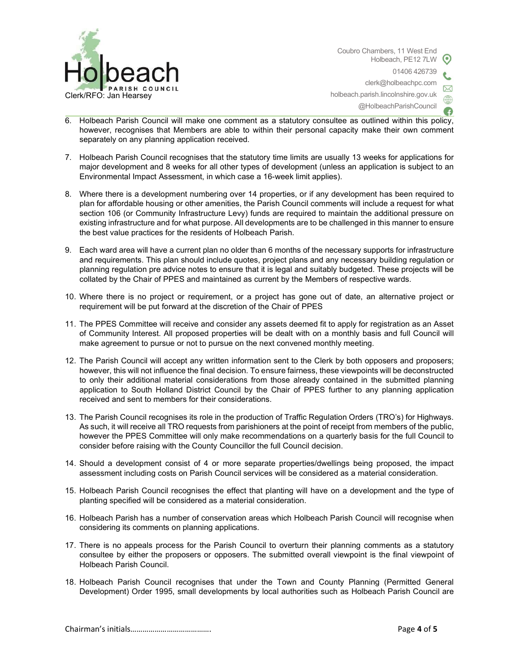

Coubro Chambers, 11 West End Holbeach, PE12 7LW 01406 426739 clerk@holbeachpc.com holbeach.parish.lincolnshire.gov.uk @HolbeachParishCouncil

- 6. Holbeach Parish Council will make one comment as a statutory consultee as outlined within this policy, however, recognises that Members are able to within their personal capacity make their own comment separately on any planning application received.
- 7. Holbeach Parish Council recognises that the statutory time limits are usually 13 weeks for applications for major development and 8 weeks for all other types of development (unless an application is subject to an Environmental Impact Assessment, in which case a 16-week limit applies).
- 8. Where there is a development numbering over 14 properties, or if any development has been required to plan for affordable housing or other amenities, the Parish Council comments will include a request for what section 106 (or Community Infrastructure Levy) funds are required to maintain the additional pressure on existing infrastructure and for what purpose. All developments are to be challenged in this manner to ensure the best value practices for the residents of Holbeach Parish.
- 9. Each ward area will have a current plan no older than 6 months of the necessary supports for infrastructure and requirements. This plan should include quotes, project plans and any necessary building regulation or planning regulation pre advice notes to ensure that it is legal and suitably budgeted. These projects will be collated by the Chair of PPES and maintained as current by the Members of respective wards.
- 10. Where there is no project or requirement, or a project has gone out of date, an alternative project or requirement will be put forward at the discretion of the Chair of PPES
- 11. The PPES Committee will receive and consider any assets deemed fit to apply for registration as an Asset of Community Interest. All proposed properties will be dealt with on a monthly basis and full Council will make agreement to pursue or not to pursue on the next convened monthly meeting.
- 12. The Parish Council will accept any written information sent to the Clerk by both opposers and proposers; however, this will not influence the final decision. To ensure fairness, these viewpoints will be deconstructed to only their additional material considerations from those already contained in the submitted planning application to South Holland District Council by the Chair of PPES further to any planning application received and sent to members for their considerations.
- 13. The Parish Council recognises its role in the production of Traffic Regulation Orders (TRO's) for Highways. As such, it will receive all TRO requests from parishioners at the point of receipt from members of the public, however the PPES Committee will only make recommendations on a quarterly basis for the full Council to consider before raising with the County Councillor the full Council decision.
- 14. Should a development consist of 4 or more separate properties/dwellings being proposed, the impact assessment including costs on Parish Council services will be considered as a material consideration.
- 15. Holbeach Parish Council recognises the effect that planting will have on a development and the type of planting specified will be considered as a material consideration.
- 16. Holbeach Parish has a number of conservation areas which Holbeach Parish Council will recognise when considering its comments on planning applications.
- 17. There is no appeals process for the Parish Council to overturn their planning comments as a statutory consultee by either the proposers or opposers. The submitted overall viewpoint is the final viewpoint of Holbeach Parish Council.
- 18. Holbeach Parish Council recognises that under the Town and County Planning (Permitted General Development) Order 1995, small developments by local authorities such as Holbeach Parish Council are

Chairman's initials…………………………………. Page 4 of 5